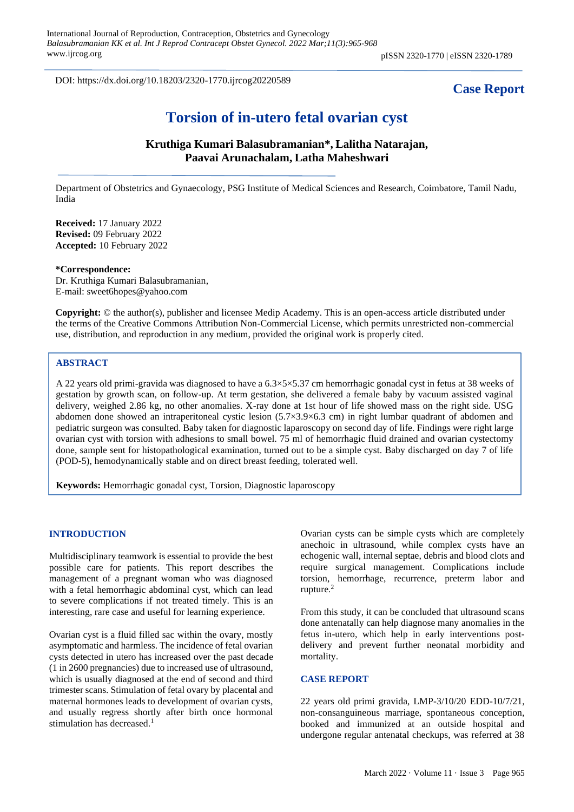DOI: https://dx.doi.org/10.18203/2320-1770.ijrcog20220589

# **Case Report**

# **Torsion of in-utero fetal ovarian cyst**

# **Kruthiga Kumari Balasubramanian\*, Lalitha Natarajan, Paavai Arunachalam, Latha Maheshwari**

Department of Obstetrics and Gynaecology, PSG Institute of Medical Sciences and Research, Coimbatore, Tamil Nadu, India

**Received:** 17 January 2022 **Revised:** 09 February 2022 **Accepted:** 10 February 2022

#### **\*Correspondence:**

Dr. Kruthiga Kumari Balasubramanian, E-mail: sweet6hopes@yahoo.com

**Copyright:** © the author(s), publisher and licensee Medip Academy. This is an open-access article distributed under the terms of the Creative Commons Attribution Non-Commercial License, which permits unrestricted non-commercial use, distribution, and reproduction in any medium, provided the original work is properly cited.

## **ABSTRACT**

A 22 years old primi-gravida was diagnosed to have a 6.3×5×5.37 cm hemorrhagic gonadal cyst in fetus at 38 weeks of gestation by growth scan, on follow-up. At term gestation, she delivered a female baby by vacuum assisted vaginal delivery, weighed 2.86 kg, no other anomalies. X-ray done at 1st hour of life showed mass on the right side. USG abdomen done showed an intraperitoneal cystic lesion (5.7×3.9×6.3 cm) in right lumbar quadrant of abdomen and pediatric surgeon was consulted. Baby taken for diagnostic laparoscopy on second day of life. Findings were right large ovarian cyst with torsion with adhesions to small bowel. 75 ml of hemorrhagic fluid drained and ovarian cystectomy done, sample sent for histopathological examination, turned out to be a simple cyst. Baby discharged on day 7 of life (POD-5), hemodynamically stable and on direct breast feeding, tolerated well.

**Keywords:** Hemorrhagic gonadal cyst, Torsion, Diagnostic laparoscopy

#### **INTRODUCTION**

Multidisciplinary teamwork is essential to provide the best possible care for patients. This report describes the management of a pregnant woman who was diagnosed with a fetal hemorrhagic abdominal cyst, which can lead to severe complications if not treated timely. This is an interesting, rare case and useful for learning experience.

Ovarian cyst is a fluid filled sac within the ovary, mostly asymptomatic and harmless. The incidence of fetal ovarian cysts detected in utero has increased over the past decade (1 in 2600 pregnancies) due to increased use of ultrasound, which is usually diagnosed at the end of second and third trimester scans. Stimulation of fetal ovary by placental and maternal hormones leads to development of ovarian cysts, and usually regress shortly after birth once hormonal stimulation has decreased.<sup>1</sup>

Ovarian cysts can be simple cysts which are completely anechoic in ultrasound, while complex cysts have an echogenic wall, internal septae, debris and blood clots and require surgical management. Complications include torsion, hemorrhage, recurrence, preterm labor and rupture.<sup>2</sup>

From this study, it can be concluded that ultrasound scans done antenatally can help diagnose many anomalies in the fetus in-utero, which help in early interventions postdelivery and prevent further neonatal morbidity and mortality.

### **CASE REPORT**

22 years old primi gravida, LMP-3/10/20 EDD-10/7/21, non-consanguineous marriage, spontaneous conception, booked and immunized at an outside hospital and undergone regular antenatal checkups, was referred at 38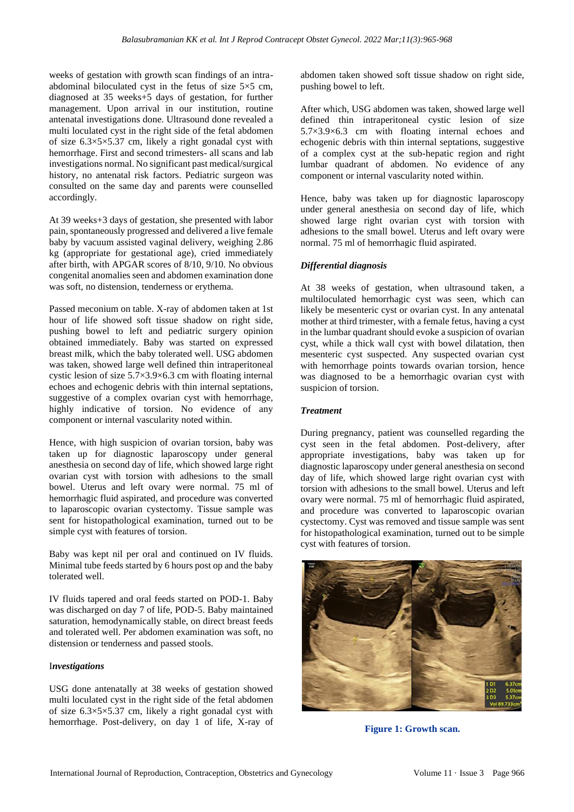weeks of gestation with growth scan findings of an intraabdominal biloculated cyst in the fetus of size  $5\times 5$  cm, diagnosed at 35 weeks+5 days of gestation, for further management. Upon arrival in our institution, routine antenatal investigations done. Ultrasound done revealed a multi loculated cyst in the right side of the fetal abdomen of size 6.3×5×5.37 cm, likely a right gonadal cyst with hemorrhage. First and second trimesters- all scans and lab investigations normal. No significant past medical/surgical history, no antenatal risk factors. Pediatric surgeon was consulted on the same day and parents were counselled accordingly.

At 39 weeks+3 days of gestation, she presented with labor pain, spontaneously progressed and delivered a live female baby by vacuum assisted vaginal delivery, weighing 2.86 kg (appropriate for gestational age), cried immediately after birth, with APGAR scores of 8/10, 9/10. No obvious congenital anomalies seen and abdomen examination done was soft, no distension, tenderness or erythema.

Passed meconium on table. X-ray of abdomen taken at 1st hour of life showed soft tissue shadow on right side, pushing bowel to left and pediatric surgery opinion obtained immediately. Baby was started on expressed breast milk, which the baby tolerated well. USG abdomen was taken, showed large well defined thin intraperitoneal cystic lesion of size 5.7×3.9×6.3 cm with floating internal echoes and echogenic debris with thin internal septations, suggestive of a complex ovarian cyst with hemorrhage, highly indicative of torsion. No evidence of any component or internal vascularity noted within.

Hence, with high suspicion of ovarian torsion, baby was taken up for diagnostic laparoscopy under general anesthesia on second day of life, which showed large right ovarian cyst with torsion with adhesions to the small bowel. Uterus and left ovary were normal. 75 ml of hemorrhagic fluid aspirated, and procedure was converted to laparoscopic ovarian cystectomy. Tissue sample was sent for histopathological examination, turned out to be simple cyst with features of torsion.

Baby was kept nil per oral and continued on IV fluids. Minimal tube feeds started by 6 hours post op and the baby tolerated well.

IV fluids tapered and oral feeds started on POD-1. Baby was discharged on day 7 of life, POD-5. Baby maintained saturation, hemodynamically stable, on direct breast feeds and tolerated well. Per abdomen examination was soft, no distension or tenderness and passed stools.

## I*nvestigations*

USG done antenatally at 38 weeks of gestation showed multi loculated cyst in the right side of the fetal abdomen of size 6.3×5×5.37 cm, likely a right gonadal cyst with hemorrhage. Post-delivery, on day 1 of life, X-ray of abdomen taken showed soft tissue shadow on right side, pushing bowel to left.

After which, USG abdomen was taken, showed large well defined thin intraperitoneal cystic lesion of size 5.7×3.9×6.3 cm with floating internal echoes and echogenic debris with thin internal septations, suggestive of a complex cyst at the sub-hepatic region and right lumbar quadrant of abdomen. No evidence of any component or internal vascularity noted within.

Hence, baby was taken up for diagnostic laparoscopy under general anesthesia on second day of life, which showed large right ovarian cyst with torsion with adhesions to the small bowel. Uterus and left ovary were normal. 75 ml of hemorrhagic fluid aspirated.

# *Differential diagnosis*

At 38 weeks of gestation, when ultrasound taken, a multiloculated hemorrhagic cyst was seen, which can likely be mesenteric cyst or ovarian cyst. In any antenatal mother at third trimester, with a female fetus, having a cyst in the lumbar quadrant should evoke a suspicion of ovarian cyst, while a thick wall cyst with bowel dilatation, then mesenteric cyst suspected. Any suspected ovarian cyst with hemorrhage points towards ovarian torsion, hence was diagnosed to be a hemorrhagic ovarian cyst with suspicion of torsion.

## *Treatment*

During pregnancy, patient was counselled regarding the cyst seen in the fetal abdomen. Post-delivery, after appropriate investigations, baby was taken up for diagnostic laparoscopy under general anesthesia on second day of life, which showed large right ovarian cyst with torsion with adhesions to the small bowel. Uterus and left ovary were normal. 75 ml of hemorrhagic fluid aspirated, and procedure was converted to laparoscopic ovarian cystectomy. Cyst was removed and tissue sample was sent for histopathological examination, turned out to be simple cyst with features of torsion.



**Figure 1: Growth scan.**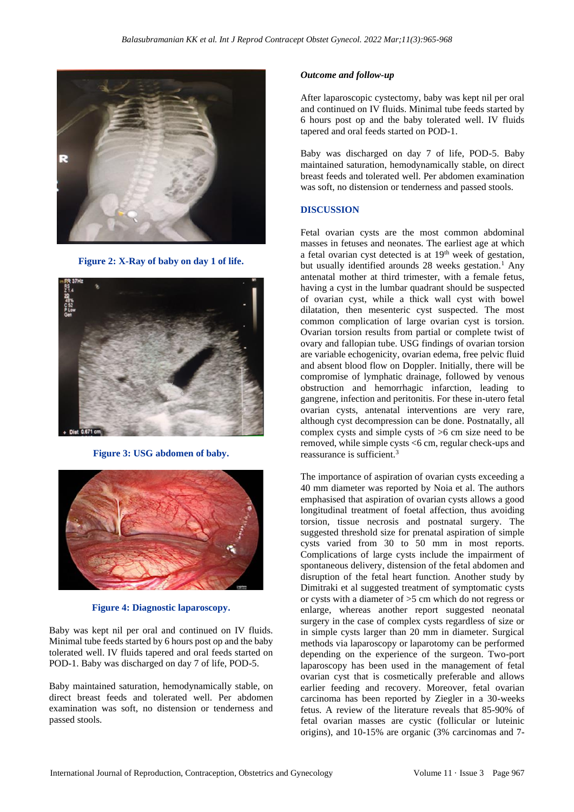

**Figure 2: X-Ray of baby on day 1 of life.**



**Figure 3: USG abdomen of baby.**



**Figure 4: Diagnostic laparoscopy.**

Baby was kept nil per oral and continued on IV fluids. Minimal tube feeds started by 6 hours post op and the baby tolerated well. IV fluids tapered and oral feeds started on POD-1. Baby was discharged on day 7 of life, POD-5.

Baby maintained saturation, hemodynamically stable, on direct breast feeds and tolerated well. Per abdomen examination was soft, no distension or tenderness and passed stools.

#### *Outcome and follow-up*

After laparoscopic cystectomy, baby was kept nil per oral and continued on IV fluids. Minimal tube feeds started by 6 hours post op and the baby tolerated well. IV fluids tapered and oral feeds started on POD-1.

Baby was discharged on day 7 of life, POD-5. Baby maintained saturation, hemodynamically stable, on direct breast feeds and tolerated well. Per abdomen examination was soft, no distension or tenderness and passed stools.

#### **DISCUSSION**

Fetal ovarian cysts are the most common abdominal masses in fetuses and neonates. The earliest age at which a fetal ovarian cyst detected is at 19<sup>th</sup> week of gestation, but usually identified arounds 28 weeks gestation.<sup>1</sup> Any antenatal mother at third trimester, with a female fetus, having a cyst in the lumbar quadrant should be suspected of ovarian cyst, while a thick wall cyst with bowel dilatation, then mesenteric cyst suspected. The most common complication of large ovarian cyst is torsion. Ovarian torsion results from partial or complete twist of ovary and fallopian tube. USG findings of ovarian torsion are variable echogenicity, ovarian edema, free pelvic fluid and absent blood flow on Doppler. Initially, there will be compromise of lymphatic drainage, followed by venous obstruction and hemorrhagic infarction, leading to gangrene, infection and peritonitis. For these in-utero fetal ovarian cysts, antenatal interventions are very rare, although cyst decompression can be done. Postnatally, all complex cysts and simple cysts of >6 cm size need to be removed, while simple cysts <6 cm, regular check-ups and reassurance is sufficient.<sup>3</sup>

The importance of aspiration of ovarian cysts exceeding a 40 mm diameter was reported by Noia et al. The authors emphasised that aspiration of ovarian cysts allows a good longitudinal treatment of foetal affection, thus avoiding torsion, tissue necrosis and postnatal surgery. The suggested threshold size for prenatal aspiration of simple cysts varied from 30 to 50 mm in most reports. Complications of large cysts include the impairment of spontaneous delivery, distension of the fetal abdomen and disruption of the fetal heart function. Another study by Dimitraki et al suggested treatment of symptomatic cysts or cysts with a diameter of >5 cm which do not regress or enlarge, whereas another report suggested neonatal surgery in the case of complex cysts regardless of size or in simple cysts larger than 20 mm in diameter. Surgical methods via laparoscopy or laparotomy can be performed depending on the experience of the surgeon. Two-port laparoscopy has been used in the management of fetal ovarian cyst that is cosmetically preferable and allows earlier feeding and recovery. Moreover, fetal ovarian carcinoma has been reported by Ziegler in a 30-weeks fetus. A review of the literature reveals that 85-90% of fetal ovarian masses are cystic (follicular or luteinic origins), and 10-15% are organic (3% carcinomas and 7-